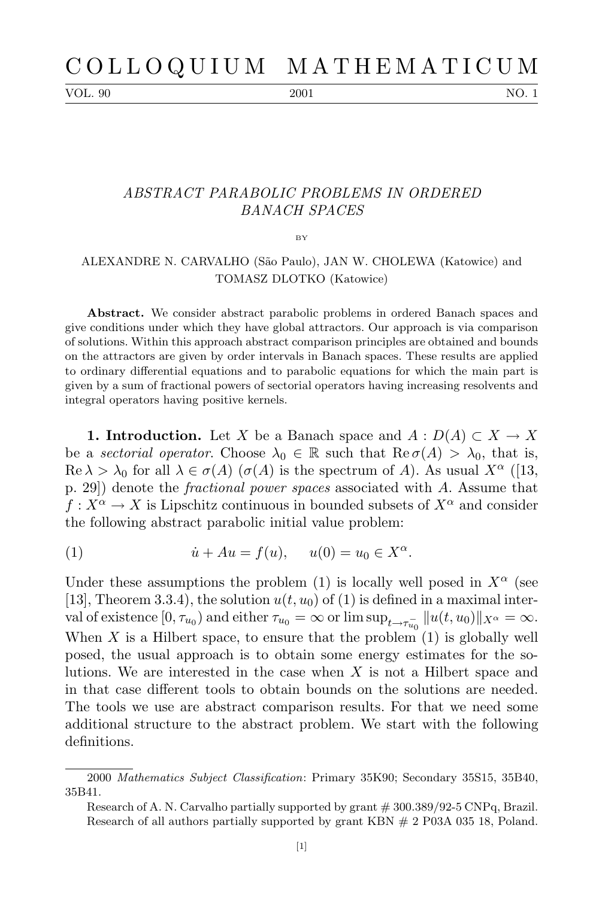VOL. 90 2001 2001 NO. 1

## *ABSTRACT PARABOLIC PROBLEMS IN ORDERED BANACH SPACES*

 $BV$ 

## ALEXANDRE N. CARVALHO (São Paulo), JAN W. CHOLEWA (Katowice) and TOMASZ DLOTKO (Katowice)

**Abstract.** We consider abstract parabolic problems in ordered Banach spaces and give conditions under which they have global attractors. Our approach is via comparison of solutions. Within this approach abstract comparison principles are obtained and bounds on the attractors are given by order intervals in Banach spaces. These results are applied to ordinary differential equations and to parabolic equations for which the main part is given by a sum of fractional powers of sectorial operators having increasing resolvents and integral operators having positive kernels.

**1. Introduction.** Let *X* be a Banach space and  $A: D(A) \subset X \to X$ be a *sectorial operator*. Choose  $\lambda_0 \in \mathbb{R}$  such that  $\text{Re}\,\sigma(A) > \lambda_0$ , that is,  $\text{Re }\lambda > \lambda_0$  for all  $\lambda \in \sigma(A)$  ( $\sigma(A)$ ) is the spectrum of *A*). As usual  $X^{\alpha}$  ([13, p. 29]) denote the *fractional power spaces* associated with *A*. Assume that  $f: X^{\alpha} \to X$  is Lipschitz continuous in bounded subsets of  $X^{\alpha}$  and consider the following abstract parabolic initial value problem:

(1) 
$$
\dot{u} + Au = f(u), \quad u(0) = u_0 \in X^{\alpha}.
$$

Under these assumptions the problem (1) is locally well posed in  $X^{\alpha}$  (see [13], Theorem 3.3.4), the solution  $u(t, u_0)$  of (1) is defined in a maximal inter- $\text{val of existence } [0, \tau_{u_0}) \text{ and either } \tau_{u_0} = \infty \text{ or } \limsup_{t \to \tau_{u_0}^-} ||u(t, u_0)||_{X^\alpha} = \infty.$ When  $X$  is a Hilbert space, to ensure that the problem  $(1)$  is globally well posed, the usual approach is to obtain some energy estimates for the solutions. We are interested in the case when *X* is not a Hilbert space and in that case different tools to obtain bounds on the solutions are needed. The tools we use are abstract comparison results. For that we need some additional structure to the abstract problem. We start with the following definitions.

<sup>2000</sup> *Mathematics Subject Classification*: Primary 35K90; Secondary 35S15, 35B40, 35B41.

Research of A. N. Carvalho partially supported by grant # 300.389/92-5 CNPq, Brazil. Research of all authors partially supported by grant KBN # 2 P03A 035 18, Poland.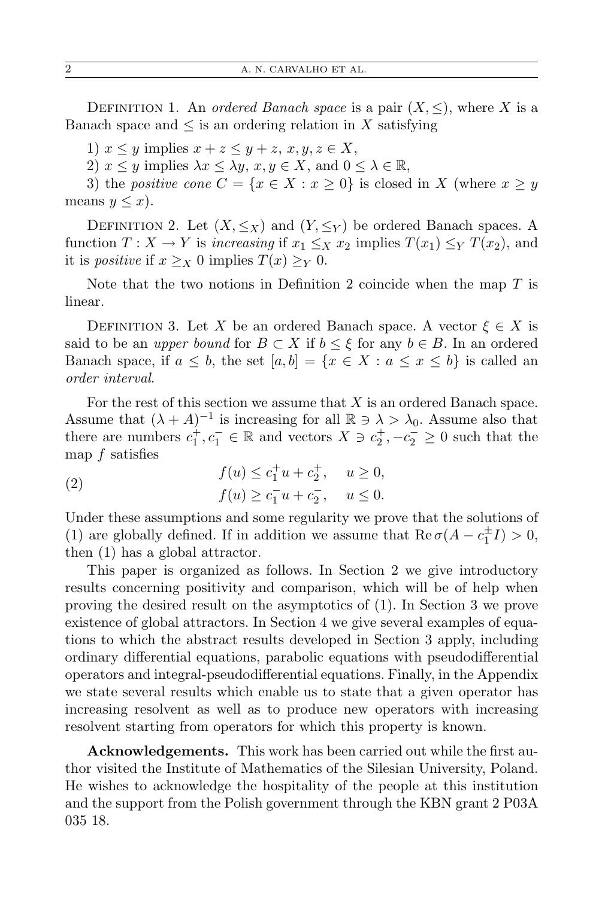DEFINITION 1. An *ordered Banach space* is a pair  $(X, \leq)$ , where *X* is a Banach space and  $\leq$  is an ordering relation in X satisfying

1)  $x \leq y$  implies  $x + z \leq y + z$ ,  $x, y, z \in X$ ,

2)  $x \leq y$  implies  $\lambda x \leq \lambda y$ ,  $x, y \in X$ , and  $0 \leq \lambda \in \mathbb{R}$ ,

3) the *positive cone*  $C = \{x \in X : x \ge 0\}$  is closed in *X* (where  $x \ge y$ means  $y \leq x$ ).

DEFINITION 2. Let  $(X, \leq_X)$  and  $(Y, \leq_Y)$  be ordered Banach spaces. A function  $T: X \to Y$  is *increasing* if  $x_1 \leq_X x_2$  implies  $T(x_1) \leq_Y T(x_2)$ , and it is *positive* if  $x \geq_X 0$  implies  $T(x) \geq_Y 0$ .

Note that the two notions in Definition 2 coincide when the map *T* is linear.

DEFINITION 3. Let X be an ordered Banach space. A vector  $\xi \in X$  is said to be an *upper bound* for  $B \subset X$  if  $b \leq \xi$  for any  $b \in B$ . In an ordered Banach space, if  $a \leq b$ , the set  $[a, b] = \{x \in X : a \leq x \leq b\}$  is called an *order interval*.

For the rest of this section we assume that *X* is an ordered Banach space. Assume that  $(\lambda + A)^{-1}$  is increasing for all  $\mathbb{R} \ni \lambda > \lambda_0$ . Assume also that there are numbers  $c_1^+, c_1^- \in \mathbb{R}$  and vectors  $X \ni c_2^+, -c_2^- \geq 0$  such that the map *f* satisfies

(2) 
$$
f(u) \le c_1^+ u + c_2^+, \quad u \ge 0, f(u) \ge c_1^- u + c_2^-, \quad u \le 0.
$$

Under these assumptions and some regularity we prove that the solutions of (1) are globally defined. If in addition we assume that  $\text{Re}\,\sigma(A - c_1^{\pm}I) > 0$ , then (1) has a global attractor.

This paper is organized as follows. In Section 2 we give introductory results concerning positivity and comparison, which will be of help when proving the desired result on the asymptotics of (1). In Section 3 we prove existence of global attractors. In Section 4 we give several examples of equations to which the abstract results developed in Section 3 apply, including ordinary differential equations, parabolic equations with pseudodifferential operators and integral-pseudodifferential equations. Finally, in the Appendix we state several results which enable us to state that a given operator has increasing resolvent as well as to produce new operators with increasing resolvent starting from operators for which this property is known.

**Acknowledgements.** This work has been carried out while the first author visited the Institute of Mathematics of the Silesian University, Poland. He wishes to acknowledge the hospitality of the people at this institution and the support from the Polish government through the KBN grant 2 P03A 035 18.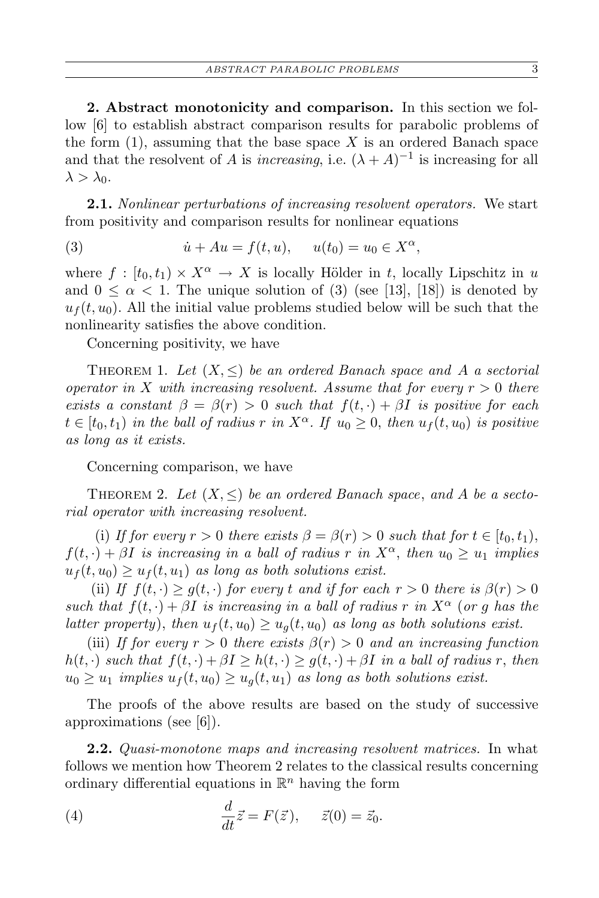**2. Abstract monotonicity and comparison.** In this section we follow [6] to establish abstract comparison results for parabolic problems of the form  $(1)$ , assuming that the base space X is an ordered Banach space and that the resolvent of *A* is *increasing*, i.e.  $(\lambda + A)^{-1}$  is increasing for all  $\lambda > \lambda_0$ .

**2.1.** *Nonlinear perturbations of increasing resolvent operators.* We start from positivity and comparison results for nonlinear equations

(3) 
$$
\dot{u} + Au = f(t, u), \quad u(t_0) = u_0 \in X^{\alpha},
$$

where  $f : [t_0, t_1) \times X^{\alpha} \to X$  is locally Hölder in *t*, locally Lipschitz in *u* and  $0 \leq \alpha \leq 1$ . The unique solution of (3) (see [13], [18]) is denoted by  $u_f(t, u_0)$ . All the initial value problems studied below will be such that the nonlinearity satisfies the above condition.

Concerning positivity, we have

THEOREM 1. Let  $(X, \leq)$  be an ordered Banach space and A a sectorial *operator in*  $X$  *with increasing resolvent. Assume that for every*  $r > 0$  *there exists a constant*  $\beta = \beta(r) > 0$  *such that*  $f(t, \cdot) + \beta I$  *is positive for each*  $t \in [t_0, t_1)$  *in the ball of radius r in*  $X^\alpha$ . If  $u_0 \geq 0$ , *then*  $u_f(t, u_0)$  *is positive as long as it exists.*

Concerning comparison, we have

THEOREM 2. Let  $(X, \leq)$  be an ordered Banach space, and A be a secto*rial operator with increasing resolvent.*

(i) If for every  $r > 0$  there exists  $\beta = \beta(r) > 0$  such that for  $t \in [t_0, t_1)$ ,  $f(t, \cdot) + \beta I$  *is increasing in a ball of radius r in*  $X^{\alpha}$ , *then*  $u_0 \geq u_1$  *implies*  $u_f(t, u_0) \geq u_f(t, u_1)$  *as long as both solutions exist.* 

(ii) If  $f(t, \cdot) \geq g(t, \cdot)$  for every *t* and if for each  $r > 0$  there is  $\beta(r) > 0$ *such that*  $f(t, \cdot) + \beta I$  *is increasing in a ball of radius r in*  $X^{\alpha}$  (*or g has the latter property*), *then*  $u_f(t, u_0) \ge u_q(t, u_0)$  *as long as both solutions exist.* 

(iii) *If for every*  $r > 0$  *there exists*  $\beta(r) > 0$  *and an increasing function*  $h(t, \cdot)$  *such that*  $f(t, \cdot) + \beta I \geq h(t, \cdot) \geq g(t, \cdot) + \beta I$  *in a ball of radius r, then*  $u_0 \geq u_1$  *implies*  $u_f(t, u_0) \geq u_g(t, u_1)$  *as long as both solutions exist.* 

The proofs of the above results are based on the study of successive approximations (see [6]).

**2.2.** *Quasi-monotone maps and increasing resolvent matrices.* In what follows we mention how Theorem 2 relates to the classical results concerning ordinary differential equations in  $\mathbb{R}^n$  having the form

(4) 
$$
\frac{d}{dt}\vec{z} = F(\vec{z}), \quad \vec{z}(0) = \vec{z}_0.
$$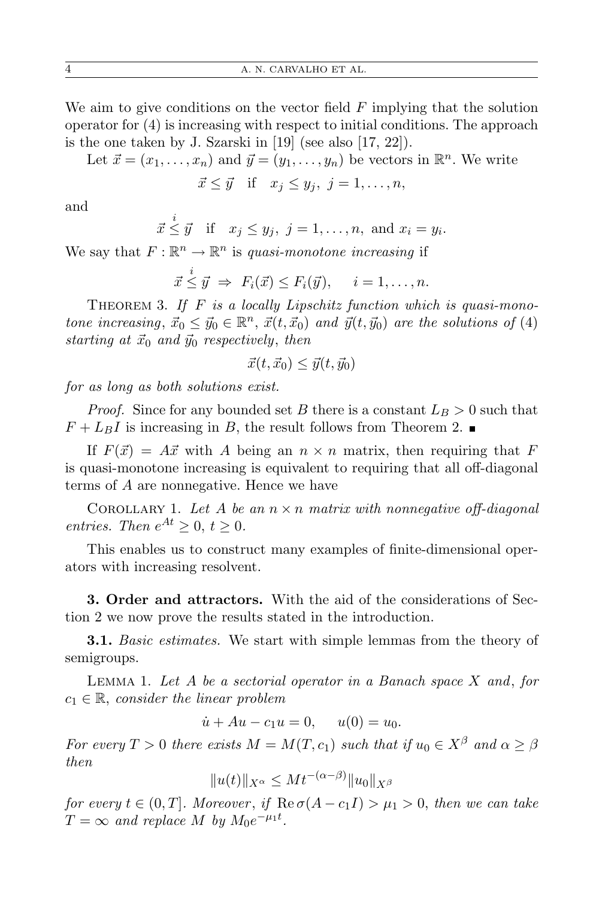We aim to give conditions on the vector field *F* implying that the solution operator for (4) is increasing with respect to initial conditions. The approach is the one taken by J. Szarski in [19] (see also [17, 22]).

Let  $\vec{x} = (x_1, \ldots, x_n)$  and  $\vec{y} = (y_1, \ldots, y_n)$  be vectors in  $\mathbb{R}^n$ . We write

$$
\vec{x} \leq \vec{y} \quad \text{if} \quad x_j \leq y_j, \ j = 1, \dots, n,
$$

and

$$
\vec{x} \leq \vec{y}
$$
 if  $x_j \leq y_j$ ,  $j = 1, ..., n$ , and  $x_i = y_i$ .

We say that  $F: \mathbb{R}^n \to \mathbb{R}^n$  is *quasi-monotone increasing* if

$$
\vec{x} \leq \vec{y} \Rightarrow F_i(\vec{x}) \leq F_i(\vec{y}), \quad i = 1, \dots, n.
$$

THEOREM 3. If F is a locally Lipschitz function which is quasi-mono*tone increasing*,  $\vec{x}_0 \leq \vec{y}_0 \in \mathbb{R}^n$ ,  $\vec{x}(t, \vec{x}_0)$  *and*  $\vec{y}(t, \vec{y}_0)$  *are the solutions of* (4) *starting at*  $\vec{x}_0$  *and*  $\vec{y}_0$  *respectively, then* 

$$
\vec{x}(t, \vec{x}_0) \leq \vec{y}(t, \vec{y}_0)
$$

*for as long as both solutions exist.*

*i*

*Proof.* Since for any bounded set *B* there is a constant  $L_B > 0$  such that  $F + L_B I$  is increasing in *B*, the result follows from Theorem 2.

If  $F(\vec{x}) = A\vec{x}$  with *A* being an  $n \times n$  matrix, then requiring that *F* is quasi-monotone increasing is equivalent to requiring that all off-diagonal terms of *A* are nonnegative. Hence we have

COROLLARY 1. Let A be an  $n \times n$  matrix with nonnegative off-diagonal *entries.* Then  $e^{At} \geq 0$ ,  $t \geq 0$ .

This enables us to construct many examples of finite-dimensional operators with increasing resolvent.

**3. Order and attractors.** With the aid of the considerations of Section 2 we now prove the results stated in the introduction.

**3.1.** *Basic estimates.* We start with simple lemmas from the theory of semigroups.

Lemma 1. *Let A be a sectorial operator in a Banach space X and*, *for c*<sup>1</sup> *∈* R, *consider the linear problem*

$$
\dot{u} + Au - c_1 u = 0, \quad u(0) = u_0.
$$

*For every*  $T > 0$  *there exists*  $M = M(T, c_1)$  *such that if*  $u_0 \in X^{\beta}$  *and*  $\alpha \geq \beta$ *then*

$$
||u(t)||_{X^{\alpha}} \leq Mt^{-(\alpha-\beta)}||u_0||_{X^{\beta}}
$$

*for every*  $t \in (0, T]$ *. Moreover, if*  $\text{Re}\,\sigma(A - c_1 I) > \mu_1 > 0$ *, then we can take*  $T = \infty$  *and replace M by*  $M_0 e^{-\mu_1 t}$ .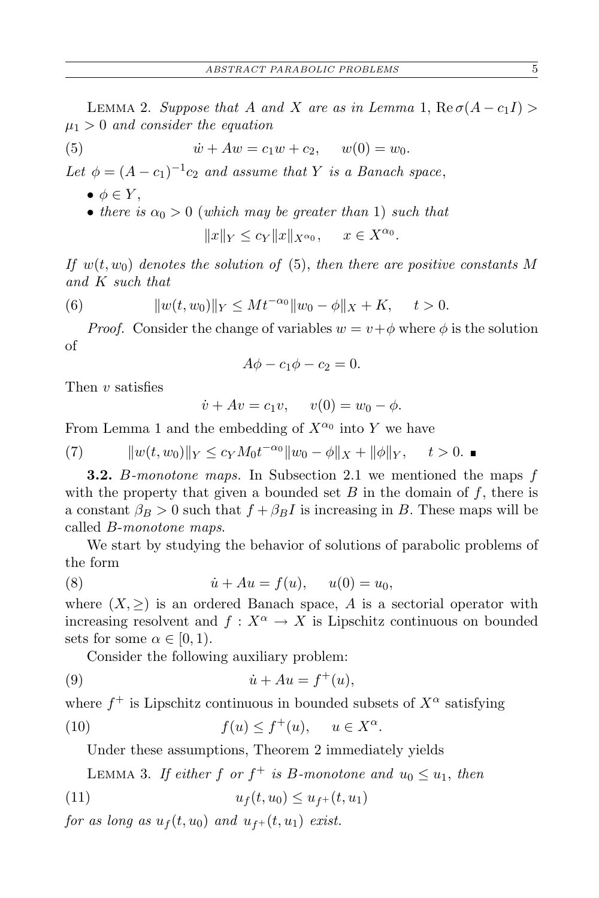LEMMA 2. *Suppose that A and X are as in Lemma* 1,  $\text{Re}\,\sigma(A-c_1I)$ *µ*<sup>1</sup> *>* 0 *and consider the equation*

(5) 
$$
\dot{w} + Aw = c_1 w + c_2, \quad w(0) = w_0.
$$

Let  $\phi = (A - c_1)^{-1}c_2$  *and assume that Y is a Banach space*,

- $\bullet \phi \in Y$ ,
- *there is*  $\alpha_0 > 0$  (*which may be greater than* 1) *such that*

$$
||x||_Y \le c_Y ||x||_{X^{\alpha_0}}, \quad x \in X^{\alpha_0}.
$$

*If*  $w(t, w_0)$  *denotes the solution of* (5), *then there are positive constants M and K such that*

(6) 
$$
||w(t, w_0)||_Y \leq Mt^{-\alpha_0}||w_0 - \phi||_X + K, \quad t > 0.
$$

*Proof.* Consider the change of variables  $w = v + \phi$  where  $\phi$  is the solution of

$$
A\phi - c_1\phi - c_2 = 0.
$$

Then *v* satisfies

$$
\dot{v} + Av = c_1 v, \quad v(0) = w_0 - \phi.
$$

From Lemma 1 and the embedding of  $X^{\alpha_0}$  into Y we have

 $\|w(t, w_0)\|_Y \le c_Y M_0 t^{-\alpha_0} \|w_0 - \phi\|_X + \|\phi\|_Y, \quad t > 0.$ 

**3.2.** *B-monotone maps.* In Subsection 2.1 we mentioned the maps *f* with the property that given a bounded set  $B$  in the domain of  $f$ , there is a constant  $\beta_B > 0$  such that  $f + \beta_B I$  is increasing in *B*. These maps will be called *B*-*monotone maps*.

We start by studying the behavior of solutions of parabolic problems of the form

(8) 
$$
\dot{u} + Au = f(u), \quad u(0) = u_0,
$$

where  $(X, \geq)$  is an ordered Banach space, A is a sectorial operator with increasing resolvent and  $f: X^{\alpha} \to X$  is Lipschitz continuous on bounded sets for some  $\alpha \in [0, 1)$ .

Consider the following auxiliary problem:

$$
(9) \qquad \qquad \dot{u} + Au = f^+(u),
$$

where  $f^+$  is Lipschitz continuous in bounded subsets of  $X^{\alpha}$  satisfying

(10) 
$$
f(u) \le f^+(u), \quad u \in X^{\alpha}.
$$

Under these assumptions, Theorem 2 immediately yields

LEMMA 3. If either f or  $f^+$  is B-monotone and  $u_0 \leq u_1$ , then

(11) *u<sup>f</sup>* (*t, u*0) *≤ uf*<sup>+</sup> (*t, u*1)

*for as long as*  $u_f(t, u_0)$  *and*  $u_{f+}(t, u_1)$  *exist.*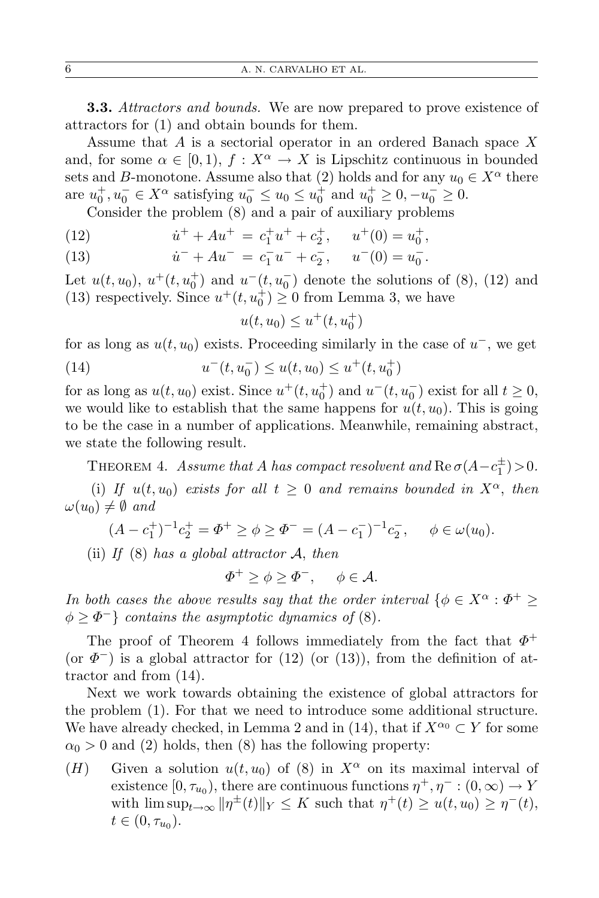**3.3.** *Attractors and bounds.* We are now prepared to prove existence of attractors for (1) and obtain bounds for them.

Assume that *A* is a sectorial operator in an ordered Banach space *X* and, for some  $\alpha \in [0, 1)$ ,  $f: X^{\alpha} \to X$  is Lipschitz continuous in bounded sets and *B*-monotone. Assume also that (2) holds and for any  $u_0 \in X^\alpha$  there are  $u_0^+, u_0^- \in X^\alpha$  satisfying  $u_0^- \le u_0 \le u_0^+$  and  $u_0^+ \ge 0, -u_0^- \ge 0$ .

Consider the problem (8) and a pair of auxiliary problems

(12) 
$$
\dot{u}^+ + Au^+ = c_1^+ u^+ + c_2^+, \quad u^+(0) = u_0^+,
$$

(13) 
$$
\dot{u}^- + Au^- = c_1^- u^- + c_2^-, \quad u^-(0) = u_0^-.
$$

Let  $u(t, u_0)$ ,  $u^+(t, u_0^+)$  and  $u^-(t, u_0^-)$  denote the solutions of (8), (12) and (13) respectively. Since  $u^+(t, u_0^+) \geq 0$  from Lemma 3, we have

$$
u(t, u_0) \le u^+(t, u_0^+)
$$

for as long as  $u(t, u_0)$  exists. Proceeding similarly in the case of  $u^-$ , we get (14)  $u^-(t, u_0^-) \le u(t, u_0) \le u^+(t, u_0^+)$ 

for as long as  $u(t, u_0)$  exist. Since  $u^+(t, u_0^+)$  and  $u^-(t, u_0^-)$  exist for all  $t \ge 0$ , we would like to establish that the same happens for  $u(t, u_0)$ . This is going to be the case in a number of applications. Meanwhile, remaining abstract, we state the following result.

THEOREM 4. *Assume that A has compact resolvent and*  $\text{Re }\sigma(A - c_1^{\pm}) > 0$ .

(i) If  $u(t, u_0)$  *exists for all*  $t \geq 0$  *and remains bounded in*  $X^{\alpha}$ *, then*  $\omega(u_0) \neq \emptyset$  *and* 

$$
(A - c_1^+)^{-1} c_2^+ = \Phi^+ \ge \phi \ge \Phi^- = (A - c_1^-)^{-1} c_2^-, \quad \phi \in \omega(u_0).
$$

(ii) *If* (8) *has a global attractor A*, *then*

$$
\varPhi^+ \ge \phi \ge \varPhi^-, \quad \phi \in \mathcal{A}.
$$

*In both cases the above results say that the order interval*  $\{\phi \in X^{\alpha} : \Phi^+ \geq \emptyset\}$  $\phi \geq \Phi^-$ } *contains the asymptotic dynamics of* (8)*.* 

The proof of Theorem 4 follows immediately from the fact that *Φ* + (or  $\Phi^-$ ) is a global attractor for (12) (or (13)), from the definition of attractor and from (14).

Next we work towards obtaining the existence of global attractors for the problem (1). For that we need to introduce some additional structure. We have already checked, in Lemma 2 and in (14), that if  $X^{\alpha_0} \subset Y$  for some  $\alpha_0 > 0$  and (2) holds, then (8) has the following property:

(*H*) Given a solution  $u(t, u_0)$  of (8) in  $X^{\alpha}$  on its maximal interval of existence  $[0, \tau_{u_0})$ , there are continuous functions  $\eta^+, \eta^- : (0, \infty) \to Y$ with  $\limsup_{t\to\infty} \|\eta^{\pm}(t)\|_{Y} \leq K$  such that  $\eta^{+}(t) \geq u(t, u_0) \geq \eta^{-}(t)$ ,  $t \in (0, \tau_{u_0}).$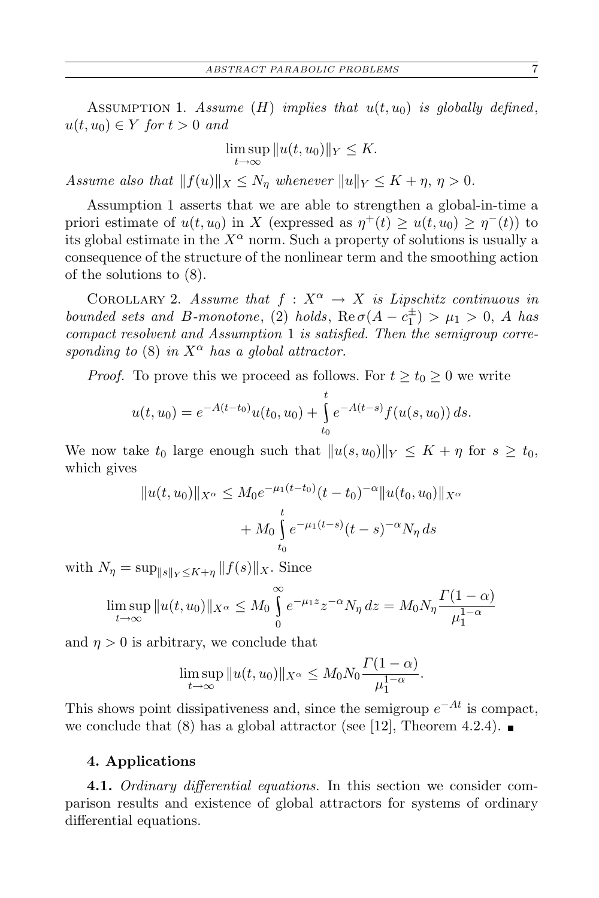ASSUMPTION 1. *Assume*  $(H)$  *implies that*  $u(t, u_0)$  *is globally defined*,  $u(t, u_0) \in Y$  *for*  $t > 0$  *and* 

$$
\limsup_{t \to \infty} ||u(t, u_0)||_Y \leq K.
$$

*Assume also that*  $||f(u)||_X \leq N_n$  *whenever*  $||u||_Y \leq K + \eta, \eta > 0$ *.* 

Assumption 1 asserts that we are able to strengthen a global-in-time a priori estimate of  $u(t, u_0)$  in *X* (expressed as  $\eta^+(t) \geq u(t, u_0) \geq \eta^-(t)$ ) to its global estimate in the  $X^{\alpha}$  norm. Such a property of solutions is usually a consequence of the structure of the nonlinear term and the smoothing action of the solutions to (8).

COROLLARY 2. *Assume that*  $f: X^{\alpha} \to X$  *is Lipschitz continuous in bounded sets and B-monotone*, (2) *holds*,  $\text{Re}\,\sigma(A-c_1^{\pm}) > \mu_1 > 0$ , *A has compact resolvent and Assumption* 1 *is satisfied. Then the semigroup corresponding to* (8) *in*  $X^{\alpha}$  *has a global attractor.* 

*Proof.* To prove this we proceed as follows. For  $t \geq t_0 \geq 0$  we write

$$
u(t, u_0) = e^{-A(t-t_0)}u(t_0, u_0) + \int_{t_0}^t e^{-A(t-s)}f(u(s, u_0)) ds.
$$

We now take  $t_0$  large enough such that  $||u(s, u_0)||_Y \leq K + \eta$  for  $s \geq t_0$ , which gives

$$
||u(t, u_0)||_{X^{\alpha}} \le M_0 e^{-\mu_1(t-t_0)} (t-t_0)^{-\alpha} ||u(t_0, u_0)||_{X^{\alpha}}
$$
  
+  $M_0 \int_{t_0}^t e^{-\mu_1(t-s)} (t-s)^{-\alpha} N_{\eta} ds$ 

with  $N_{\eta} = \sup_{\|s\|_{\mathbf{V}} \leq K+n} \|f(s)\|_{X}$ . Since

$$
\limsup_{t \to \infty} ||u(t, u_0)||_{X^{\alpha}} \le M_0 \int_0^{\infty} e^{-\mu_1 z} z^{-\alpha} N_{\eta} dz = M_0 N_{\eta} \frac{\Gamma(1 - \alpha)}{\mu_1^{1 - \alpha}}
$$

and  $\eta > 0$  is arbitrary, we conclude that

$$
\limsup_{t\to\infty} \|u(t,u_0)\|_{X^{\alpha}} \le M_0 N_0 \frac{\Gamma(1-\alpha)}{\mu_1^{1-\alpha}}.
$$

This shows point dissipativeness and, since the semigroup  $e^{-At}$  is compact, we conclude that (8) has a global attractor (see [12], Theorem 4.2.4).

## **4. Applications**

**4.1.** *Ordinary differential equations.* In this section we consider comparison results and existence of global attractors for systems of ordinary differential equations.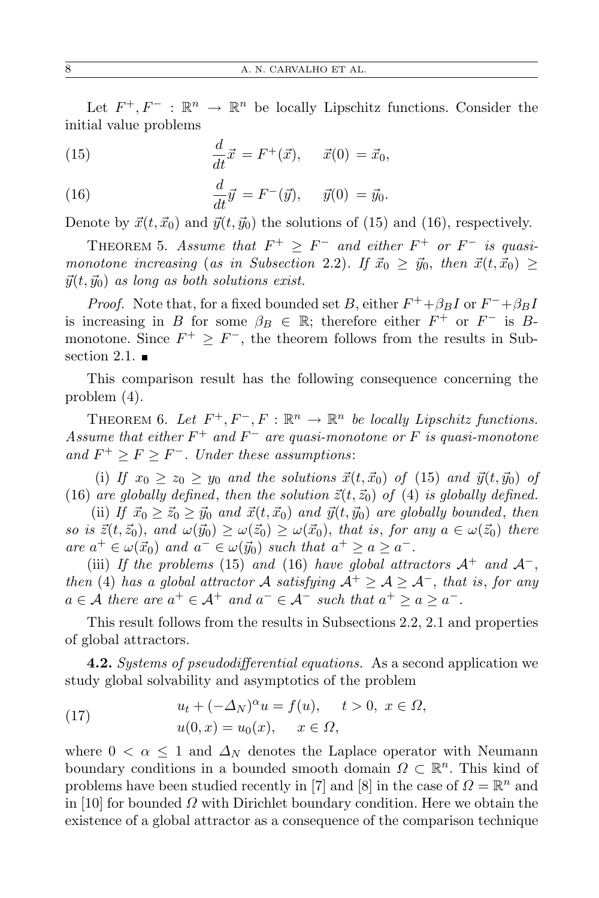Let  $F^+, F^-$  :  $\mathbb{R}^n \to \mathbb{R}^n$  be locally Lipschitz functions. Consider the initial value problems

(15) 
$$
\frac{d}{dt}\vec{x} = F^+(\vec{x}), \quad \vec{x}(0) = \vec{x}_0,
$$

(16) 
$$
\frac{d}{dt}\vec{y} = F^{-}(\vec{y}), \quad \vec{y}(0) = \vec{y}_{0}.
$$

Denote by  $\vec{x}(t, \vec{x}_0)$  and  $\vec{y}(t, \vec{y}_0)$  the solutions of (15) and (16), respectively.

THEOREM 5. Assume that  $F^+ \geq F^-$  and either  $F^+$  or  $F^-$  is quasi*monotone increasing* (*as in Subsection* 2.2)*.* If  $\vec{x}_0 \geq \vec{y}_0$ , then  $\vec{x}(t, \vec{x}_0) \geq$  $\vec{y}(t, \vec{y}_0)$  *as long as both solutions exist.* 

*Proof.* Note that, for a fixed bounded set *B*, either  $F^+$ + $\beta_B I$  or  $F^-$ + $\beta_B I$ is increasing in *B* for some  $\beta_B \in \mathbb{R}$ ; therefore either  $F^+$  or  $F^-$  is *B*monotone. Since  $F^+ \geq F^-$ , the theorem follows from the results in Subsection 2.1.  $\blacksquare$ 

This comparison result has the following consequence concerning the problem (4).

THEOREM 6. Let  $F^+, F^-, F : \mathbb{R}^n \to \mathbb{R}^n$  be locally Lipschitz functions. *Assume that either F* <sup>+</sup> *and F <sup>−</sup> are quasi-monotone or F is quasi-monotone* and  $F$ <sup>+</sup> ≥  $F$  ≥  $F$ <sup>−</sup>*.* Under these assumptions:

(i) If  $x_0 \geq z_0 \geq y_0$  and the solutions  $\vec{x}(t, \vec{x}_0)$  of (15) and  $\vec{y}(t, \vec{y}_0)$  of (16) are globally defined, then the solution  $\vec{z}(t, \vec{z}_0)$  of (4) is globally defined.

(ii) If  $\vec{x}_0 \geq \vec{z}_0 \geq \vec{y}_0$  and  $\vec{x}(t, \vec{x}_0)$  and  $\vec{y}(t, \vec{y}_0)$  are globally bounded, then *so is*  $\vec{z}(t, \vec{z}_0)$ , and  $\omega(\vec{y}_0) \geq \omega(\vec{z}_0) \geq \omega(\vec{x}_0)$ , that is, for any  $a \in \omega(\vec{z}_0)$  there  $\int a^{+} \in \omega(\vec{x}_0)$  *and*  $a^{-} \in \omega(\vec{y}_0)$  *such that*  $a^{+} \ge a \ge a^{-}$ .

(iii) *If the problems* (15) *and* (16) *have global attractors*  $A^+$  *and*  $A^-$ , *then* (4) *has a global attractor A satisfying*  $A^+ \geq A \geq A^-$ , *that is, for any*  $a \in \mathcal{A}$  there are  $a^+ \in \mathcal{A}^+$  and  $a^- \in \mathcal{A}^-$  such that  $a^+ \ge a \ge a^-$ .

This result follows from the results in Subsections 2.2, 2.1 and properties of global attractors.

**4.2.** *Systems of pseudodifferential equations.* As a second application we study global solvability and asymptotics of the problem

(17) 
$$
u_t + (-\Delta_N)^{\alpha} u = f(u), \quad t > 0, \ x \in \Omega,
$$

$$
u(0, x) = u_0(x), \quad x \in \Omega,
$$

where  $0 < \alpha \leq 1$  and  $\Delta_N$  denotes the Laplace operator with Neumann boundary conditions in a bounded smooth domain  $\Omega \subset \mathbb{R}^n$ . This kind of problems have been studied recently in [7] and [8] in the case of  $\Omega = \mathbb{R}^n$  and in [10] for bounded *Ω* with Dirichlet boundary condition. Here we obtain the existence of a global attractor as a consequence of the comparison technique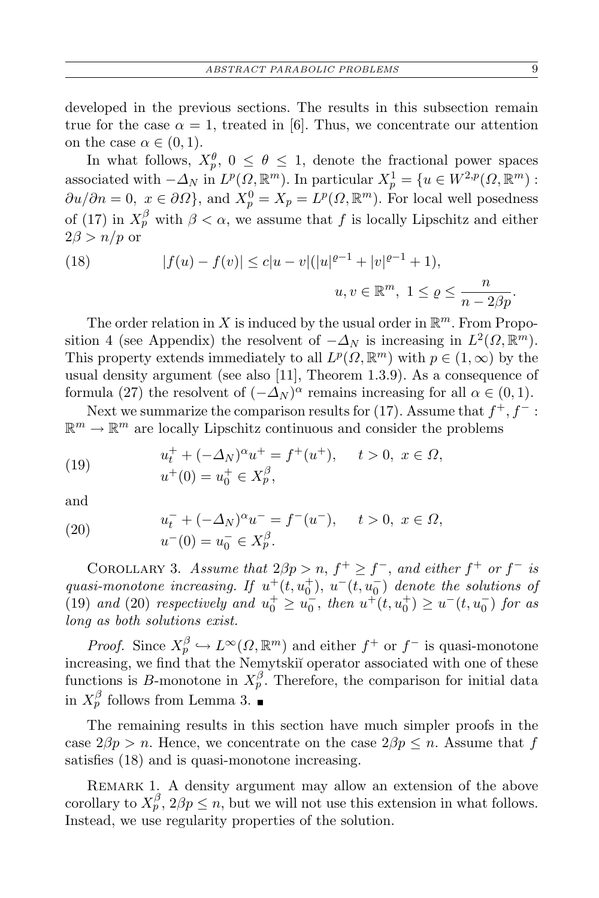developed in the previous sections. The results in this subsection remain true for the case  $\alpha = 1$ , treated in [6]. Thus, we concentrate our attention on the case  $\alpha \in (0,1)$ .

In what follows,  $X_p^{\theta}$ ,  $0 \leq \theta \leq 1$ , denote the fractional power spaces associated with  $-\Delta_N$  in  $L^p(\Omega, \mathbb{R}^m)$ . In particular  $X_p^1 = \{u \in W^{2,p}(\Omega, \mathbb{R}^m) :$  $\partial u/\partial n = 0$ ,  $x \in \partial \Omega$ , and  $X_p^0 = X_p = L^p(\Omega, \mathbb{R}^m)$ . For local well posedness of (17) in  $X_p^{\beta}$  with  $\beta < \alpha$ , we assume that *f* is locally Lipschitz and either  $2\beta > n/p$  or

(18) 
$$
|f(u) - f(v)| \le c|u - v|(|u|^{\varrho - 1} + |v|^{\varrho - 1} + 1),
$$

$$
u, v \in \mathbb{R}^m, 1 \le \varrho \le \frac{n}{n - 2\beta p}.
$$

The order relation in  $X$  is induced by the usual order in  $\mathbb{R}^m$ . From Proposition 4 (see Appendix) the resolvent of  $-\Delta_N$  is increasing in  $L^2(\Omega, \mathbb{R}^m)$ . This property extends immediately to all  $L^p(\Omega, \mathbb{R}^m)$  with  $p \in (1, \infty)$  by the usual density argument (see also [11], Theorem 1.3.9). As a consequence of formula (27) the resolvent of  $(-\Delta_N)^\alpha$  remains increasing for all  $\alpha \in (0,1)$ .

Next we summarize the comparison results for  $(17)$ . Assume that  $f^+, f^-$ :  $\mathbb{R}^m \to \mathbb{R}^m$  are locally Lipschitz continuous and consider the problems

(19) 
$$
u_t^+ + (-\Delta_N)^\alpha u^+ = f^+(u^+), \quad t > 0, \ x \in \Omega,
$$

$$
u^+(0) = u_0^+ \in X_p^\beta,
$$

and

(20) 
$$
u_t^- + (-\Delta_N)^\alpha u^- = f^-(u^-), \quad t > 0, \ x \in \Omega,
$$

$$
u^-(0) = u_0^- \in X_p^\beta.
$$

COROLLARY 3. *Assume that*  $2\beta p > n$ ,  $f^+ \geq f^-$ , and either  $f^+$  or  $f^-$  is *quasi-monotone increasing.* If  $u^+(t, u_0^+)$ ,  $u^-(t, u_0^-)$  denote the solutions of (19) *and* (20) *respectively and*  $u_0^+ \ge u_0^-$ , *then*  $u^+(t, u_0^+) \ge u^-(t, u_0^-)$  *for as long as both solutions exist.*

*Proof.* Since  $X_p^{\beta} \hookrightarrow L^{\infty}(\Omega, \mathbb{R}^m)$  and either  $f^+$  or  $f^-$  is quasi-monotone increasing, we find that the Nemytskiı̆ operator associated with one of these functions is *B*-monotone in  $X_p^{\beta}$ . Therefore, the comparison for initial data in  $X_p^{\beta}$  follows from Lemma 3.

The remaining results in this section have much simpler proofs in the case  $2\beta p > n$ . Hence, we concentrate on the case  $2\beta p \leq n$ . Assume that *f* satisfies (18) and is quasi-monotone increasing.

Remark 1. A density argument may allow an extension of the above corollary to  $X_p^{\beta}$ ,  $2\beta p \leq n$ , but we will not use this extension in what follows. Instead, we use regularity properties of the solution.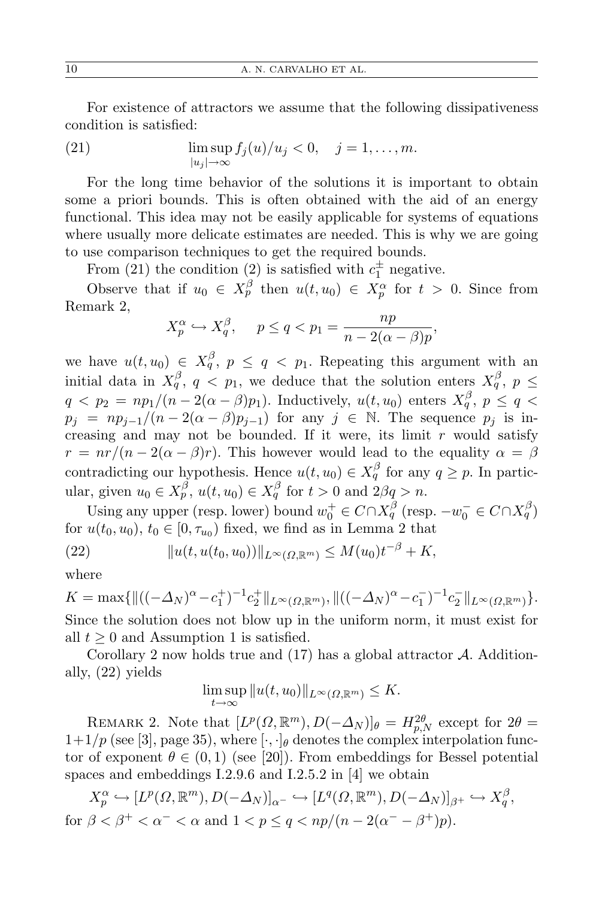For existence of attractors we assume that the following dissipativeness condition is satisfied:

(21) 
$$
\limsup_{|u_j|\to\infty} f_j(u)/u_j < 0, \quad j=1,\ldots,m.
$$

For the long time behavior of the solutions it is important to obtain some a priori bounds. This is often obtained with the aid of an energy functional. This idea may not be easily applicable for systems of equations where usually more delicate estimates are needed. This is why we are going to use comparison techniques to get the required bounds.

From (21) the condition (2) is satisfied with  $c_1^{\pm}$  negative.

Observe that if  $u_0 \in X_p^{\beta}$  then  $u(t, u_0) \in X_p^{\alpha}$  for  $t > 0$ . Since from Remark 2,

$$
X_p^{\alpha} \hookrightarrow X_q^{\beta}, \quad p \le q < p_1 = \frac{np}{n - 2(\alpha - \beta)p}
$$

*,*

we have  $u(t, u_0) \in X_q^{\beta}$ ,  $p \le q < p_1$ . Repeating this argument with an initial data in  $X_q^{\beta}$ ,  $q \leq p_1$ , we deduce that the solution enters  $X_q^{\beta}$ ,  $p \leq$  $q < p_2 = np_1/(n-2(\alpha-\beta)p_1).$  Inductively,  $u(t,u_0)$  enters  $X_q^{\beta},\ p \leq q <$  $p_j = np_{j-1}/(n-2(\alpha-\beta)p_{j-1})$  for any  $j \in \mathbb{N}$ . The sequence  $p_j$  is increasing and may not be bounded. If it were, its limit *r* would satisfy  $r = nr/(n-2(\alpha-\beta)r)$ . This however would lead to the equality  $\alpha = \beta$ contradicting our hypothesis. Hence  $u(t, u_0) \in X_q^{\beta}$  for any  $q \geq p$ . In particular, given  $u_0 \in X_p^{\beta}$ ,  $u(t, u_0) \in X_q^{\beta}$  for  $t > 0$  and  $2\beta q > n$ .

Using any upper (resp. lower) bound  $w_0^+ \in C \cap X_q^{\beta}$  (resp.  $-w_0^- \in C \cap X_q^{\beta}$ ) for  $u(t_0, u_0)$ ,  $t_0 \in [0, \tau_{u_0})$  fixed, we find as in Lemma 2 that

(22) 
$$
||u(t, u(t_0, u_0))||_{L^{\infty}(\Omega, \mathbb{R}^m)} \leq M(u_0)t^{-\beta} + K,
$$

where

$$
K = \max\{\|((-\Delta_N)^{\alpha} - c_1^+)^{-1}c_2^+\|_{L^{\infty}(\Omega,\mathbb{R}^m)}, \|((-\Delta_N)^{\alpha} - c_1^-)^{-1}c_2^-\|_{L^{\infty}(\Omega,\mathbb{R}^m)}\}.
$$
  
Since the solution does not blow up in the uniform norm, it must exist for all  $t \ge 0$  and Assumption 1 is satisfied.

Corollary 2 now holds true and (17) has a global attractor *A*. Additionally, (22) yields

$$
\limsup_{t \to \infty} ||u(t, u_0)||_{L^{\infty}(\Omega, \mathbb{R}^m)} \leq K.
$$

REMARK 2. Note that  $[L^p(\Omega, \mathbb{R}^m), D(-\Delta_N)]_\theta = H_{p,N}^{2\theta}$  except for  $2\theta =$  $1+1/p$  (see [3], page 35), where  $[\cdot, \cdot]_{\theta}$  denotes the complex interpolation functor of exponent  $\theta \in (0,1)$  (see [20]). From embeddings for Bessel potential spaces and embeddings I.2.9.6 and I.2.5.2 in [4] we obtain

$$
X_p^{\alpha} \hookrightarrow [L^p(\Omega, \mathbb{R}^m), D(-\Delta_N)]_{\alpha^-} \hookrightarrow [L^q(\Omega, \mathbb{R}^m), D(-\Delta_N)]_{\beta^+} \hookrightarrow X_q^{\beta},
$$
  
for  $\beta < \beta^+ < \alpha^- < \alpha$  and  $1 < p \le q < np/(n - 2(\alpha^- - \beta^+)p)$ .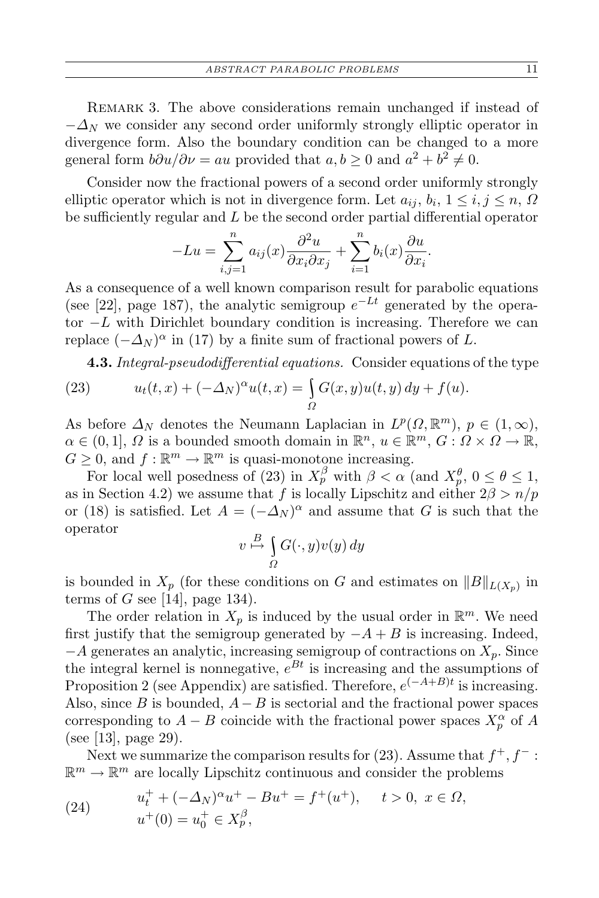REMARK 3. The above considerations remain unchanged if instead of *−∆<sup>N</sup>* we consider any second order uniformly strongly elliptic operator in divergence form. Also the boundary condition can be changed to a more general form  $b\partial u/\partial \nu = au$  provided that  $a, b \ge 0$  and  $a^2 + b^2 \ne 0$ .

Consider now the fractional powers of a second order uniformly strongly elliptic operator which is not in divergence form. Let  $a_{ij}$ ,  $b_i$ ,  $1 \le i, j \le n$ ,  $\Omega$ be sufficiently regular and *L* be the second order partial differential operator

$$
-Lu = \sum_{i,j=1}^{n} a_{ij}(x) \frac{\partial^2 u}{\partial x_i \partial x_j} + \sum_{i=1}^{n} b_i(x) \frac{\partial u}{\partial x_i}.
$$

As a consequence of a well known comparison result for parabolic equations (see [22], page 187), the analytic semigroup  $e^{-Lt}$  generated by the operator *−L* with Dirichlet boundary condition is increasing. Therefore we can replace  $(-\Delta_N)^\alpha$  in (17) by a finite sum of fractional powers of *L*.

**4.3.** *Integral-pseudodifferential equations.* Consider equations of the type

(23) 
$$
u_t(t,x) + (-\Delta_N)^\alpha u(t,x) = \int_{\Omega} G(x,y)u(t,y) dy + f(u).
$$

As before  $\Delta_N$  denotes the Neumann Laplacian in  $L^p(\Omega, \mathbb{R}^m)$ ,  $p \in (1, \infty)$ ,  $\alpha \in (0,1], \Omega$  is a bounded smooth domain in  $\mathbb{R}^n$ ,  $u \in \mathbb{R}^m$ ,  $G: \Omega \times \Omega \to \mathbb{R}$ ,  $G \geq 0$ , and  $f: \mathbb{R}^m \to \mathbb{R}^m$  is quasi-monotone increasing.

For local well posedness of (23) in  $X_p^{\beta}$  with  $\beta < \alpha$  (and  $X_p^{\theta}$ ,  $0 \le \theta \le 1$ , as in Section 4.2) we assume that *f* is locally Lipschitz and either  $2\beta > n/p$ or (18) is satisfied. Let  $A = (-\Delta_N)^\alpha$  and assume that *G* is such that the operator

$$
v \stackrel{B}{\mapsto} \int\limits_{\Omega} G(\cdot, y)v(y) \, dy
$$

is bounded in  $X_p$  (for these conditions on *G* and estimates on  $||B||_{L(X_p)}$  in terms of  $G$  see [14], page 134).

The order relation in  $X_p$  is induced by the usual order in  $\mathbb{R}^m$ . We need first justify that the semigroup generated by  $-A + B$  is increasing. Indeed, *−A* generates an analytic, increasing semigroup of contractions on *Xp*. Since the integral kernel is nonnegative,  $e^{Bt}$  is increasing and the assumptions of Proposition 2 (see Appendix) are satisfied. Therefore,  $e^{(-A+B)t}$  is increasing. Also, since *B* is bounded, *A−B* is sectorial and the fractional power spaces corresponding to  $A - B$  coincide with the fractional power spaces  $X_p^{\alpha}$  of  $A$ (see [13], page 29).

Next we summarize the comparison results for (23). Assume that *f* <sup>+</sup>*, f <sup>−</sup>* :  $\mathbb{R}^m \to \mathbb{R}^m$  are locally Lipschitz continuous and consider the problems

(24) 
$$
u_t^+ + (-\Delta_N)^{\alpha} u^+ - Bu^+ = f^+(u^+), \quad t > 0, \ x \in \Omega,
$$

$$
u^+(0) = u_0^+ \in X_p^{\beta},
$$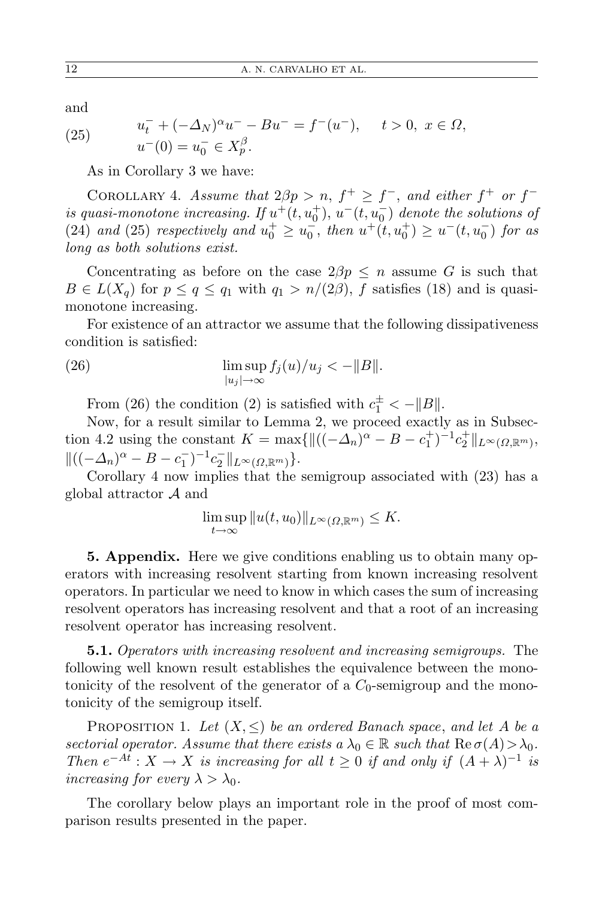and

(25) 
$$
u_t^- + (-\Delta_N)^\alpha u^- - Bu^- = f^-(u^-), \quad t > 0, \ x \in \Omega,
$$

$$
u^-(0) = u_0^- \in X_p^\beta.
$$

As in Corollary 3 we have:

COROLLARY 4. *Assume that*  $2\beta p > n$ ,  $f^+ \geq f^-$ , and either  $f^+$  or  $f^$ *is quasi-monotone increasing.* If  $u^+(t, u_0^+)$ ,  $u^-(t, u_0^-)$  denote the solutions of (24) *and* (25) *respectively and*  $u_0^+ \ge u_0^-,$  *then*  $u^+(t, u_0^+) \ge u^-(t, u_0^-)$  *for as long as both solutions exist.*

Concentrating as before on the case  $2\beta p \leq n$  assume *G* is such that  $B \in L(X_q)$  for  $p \le q \le q_1$  with  $q_1 > n/(2\beta)$ , *f* satisfies (18) and is quasimonotone increasing.

For existence of an attractor we assume that the following dissipativeness condition is satisfied:

(26) 
$$
\limsup_{|u_j|\to\infty} f_j(u)/u_j < -\|B\|.
$$

From (26) the condition (2) is satisfied with  $c_1^{\pm} < -||B||$ .

Now, for a result similar to Lemma 2, we proceed exactly as in Subsection 4.2 using the constant  $K = \max\{||((-\Delta_n)^{\alpha} - B - c_1^+)^{-1}c_2^+||_{L^{\infty}(\Omega,\mathbb{R}^m)},\}$  $\|((-\Delta_n)^{\alpha} - B - c_1^{-})^{-1}c_2^{-}\|_{L^{\infty}(\Omega,\mathbb{R}^m)}\}.$ 

Corollary 4 now implies that the semigroup associated with (23) has a global attractor *A* and

$$
\limsup_{t\to\infty}||u(t,u_0)||_{L^{\infty}(\Omega,\mathbb{R}^m)}\leq K.
$$

**5. Appendix.** Here we give conditions enabling us to obtain many operators with increasing resolvent starting from known increasing resolvent operators. In particular we need to know in which cases the sum of increasing resolvent operators has increasing resolvent and that a root of an increasing resolvent operator has increasing resolvent.

**5.1.** *Operators with increasing resolvent and increasing semigroups.* The following well known result establishes the equivalence between the monotonicity of the resolvent of the generator of a  $C_0$ -semigroup and the monotonicity of the semigroup itself.

PROPOSITION 1. Let  $(X, \leq)$  be an ordered Banach space, and let A be a *sectorial operator. Assume that there exists a*  $\lambda_0 \in \mathbb{R}$  *such that*  $\text{Re}\,\sigma(A) > \lambda_0$ *. Then*  $e^{-At}$  :  $X \to X$  *is increasing for all*  $t \geq 0$  *if and only if*  $(A + \lambda)^{-1}$  *is increasing for every*  $\lambda > \lambda_0$ *.* 

The corollary below plays an important role in the proof of most comparison results presented in the paper.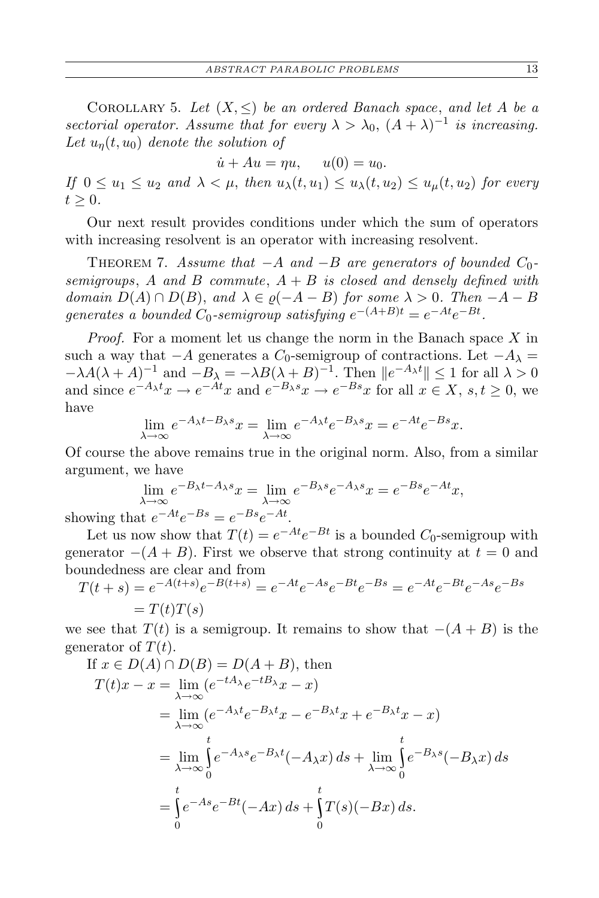COROLLARY 5. Let  $(X, \leq)$  be an ordered Banach space, and let A be a *sectorial operator. Assume that for every*  $\lambda > \lambda_0$ ,  $(A + \lambda)^{-1}$  *is increasing.* Let  $u_n(t, u_0)$  *denote the solution of* 

 $\dot{u} + Au = \eta u, \quad u(0) = u_0.$ 

*If*  $0 \le u_1 \le u_2$  *and*  $\lambda < \mu$ , *then*  $u_\lambda(t, u_1) \le u_\lambda(t, u_2) \le u_\mu(t, u_2)$  *for every*  $t > 0$ .

Our next result provides conditions under which the sum of operators with increasing resolvent is an operator with increasing resolvent.

Theorem 7. *Assume that −A and −B are generators of bounded C*0 *semigroups*, *A and B commute*, *A* + *B is closed and densely defined with domain*  $D(A) \cap D(B)$ , and  $\lambda \in \varrho(-A - B)$  *for some*  $\lambda > 0$ *. Then*  $-A - B$ *generates a bounded*  $C_0$ -semigroup satisfying  $e^{-(A+B)t} = e^{-At}e^{-Bt}$ .

*Proof.* For a moment let us change the norm in the Banach space *X* in such a way that  $-A$  generates a  $C_0$ -semigroup of contractions. Let  $-A_\lambda =$  $-\lambda A(\lambda + A)^{-1}$  and  $-B_{\lambda} = -\lambda B(\lambda + B)^{-1}$ . Then  $||e^{-A_{\lambda}t}|| \leq 1$  for all  $\lambda > 0$ and since  $e^{-A_{\lambda}t}x \to e^{-At}x$  and  $e^{-B_{\lambda}s}x \to e^{-Bs}x$  for all  $x \in X$ ,  $s, t \ge 0$ , we have

$$
\lim_{\lambda \to \infty} e^{-A_{\lambda}t - B_{\lambda}s}x = \lim_{\lambda \to \infty} e^{-A_{\lambda}t}e^{-B_{\lambda}s}x = e^{-At}e^{-Bs}x.
$$

Of course the above remains true in the original norm. Also, from a similar argument, we have

$$
\lim_{\lambda \to \infty} e^{-B_{\lambda}t - A_{\lambda}s}x = \lim_{\lambda \to \infty} e^{-B_{\lambda}s}e^{-A_{\lambda}s}x = e^{-Bs}e^{-At}x,
$$

showing that *e*  $-At e^{-Bs} = e^{-Bs}e^{-At}.$ 

Let us now show that  $T(t) = e^{-At}e^{-Bt}$  is a bounded  $C_0$ -semigroup with generator  $-(A + B)$ . First we observe that strong continuity at  $t = 0$  and boundedness are clear and from

$$
T(t+s) = e^{-A(t+s)}e^{-B(t+s)} = e^{-At}e^{-As}e^{-Bt}e^{-Bs} = e^{-At}e^{-Bt}e^{-As}e^{-Bs}
$$
  
=  $T(t)T(s)$ 

we see that  $T(t)$  is a semigroup. It remains to show that  $-(A + B)$  is the generator of  $T(t)$ .

If 
$$
x \in D(A) \cap D(B) = D(A + B)
$$
, then  
\n
$$
T(t)x - x = \lim_{\lambda \to \infty} (e^{-tA_{\lambda}}e^{-tB_{\lambda}}x - x)
$$
\n
$$
= \lim_{\lambda \to \infty} (e^{-A_{\lambda}t}e^{-B_{\lambda}t}x - e^{-B_{\lambda}t}x + e^{-B_{\lambda}t}x - x)
$$
\n
$$
= \lim_{\lambda \to \infty} \int_{0}^{t} e^{-A_{\lambda}s}e^{-B_{\lambda}t}(-A_{\lambda}x) ds + \lim_{\lambda \to \infty} \int_{0}^{t} e^{-B_{\lambda}s}(-B_{\lambda}x) ds
$$
\n
$$
= \int_{0}^{t} e^{-As}e^{-Bt}(-Ax) ds + \int_{0}^{t} T(s)(-Bx) ds.
$$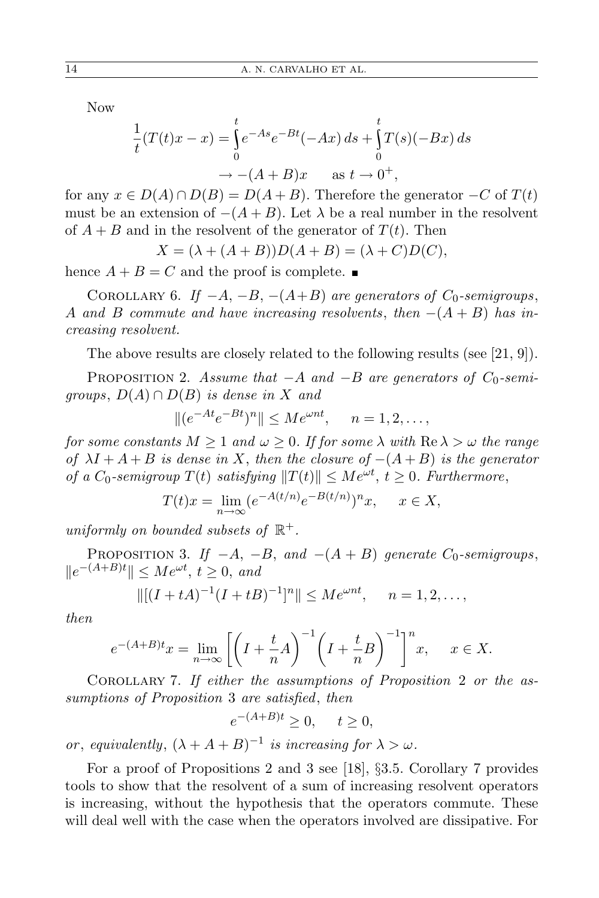Now

$$
\frac{1}{t}(T(t)x - x) = \int_{0}^{t} e^{-As} e^{-Bt} (-Ax) ds + \int_{0}^{t} T(s)(-Bx) ds
$$
  

$$
\to -(A + B)x \quad \text{as } t \to 0^{+},
$$

for any  $x \in D(A) \cap D(B) = D(A + B)$ . Therefore the generator  $-C$  of  $T(t)$ must be an extension of  $-(A + B)$ . Let  $\lambda$  be a real number in the resolvent of  $A + B$  and in the resolvent of the generator of  $T(t)$ . Then

$$
X = (\lambda + (A + B))D(A + B) = (\lambda + C)D(C),
$$

hence  $A + B = C$  and the proof is complete.

COROLLARY 6. *If*  $-A$ ,  $-B$ ,  $-(A+B)$  *are generators of*  $C_0$ -semigroups, *A* and *B commute and have increasing resolvents*, *then*  $-(A + B)$  *has increasing resolvent.*

The above results are closely related to the following results (see [21, 9]).

PROPOSITION 2. *Assume that*  $-A$  *and*  $-B$  *are generators of*  $C_0$ -semi*groups*,  $D(A) \cap D(B)$  *is dense in X and* 

$$
||(e^{-At}e^{-Bt})^n|| \le Me^{\omega nt}, \quad n=1,2,\ldots,
$$

*for some constants*  $M \geq 1$  *and*  $\omega \geq 0$ *. If for some*  $\lambda$  *with*  $\text{Re }\lambda > \omega$  *the range of*  $\lambda I + A + B$  *is dense in X*, then the closure of  $-(A + B)$  *is the generator of a*  $C_0$ -semigroup  $T(t)$  satisfying  $||T(t)|| \le Me^{\omega t}$ ,  $t \ge 0$ . Furthermore,

$$
T(t)x = \lim_{n \to \infty} (e^{-A(t/n)}e^{-B(t/n)})^n x, \quad x \in X,
$$

*uniformly on bounded subsets of* R +*.*

PROPOSITION 3. *If*  $-A$ ,  $-B$ , and  $-(A + B)$  generate  $C_0$ -semigroups,  $||e^{-(A+B)t}||$  ≤  $Me^{\omega t}$ ,  $t \ge 0$ , *and* 

$$
\|[(I+tA)^{-1}(I+tB)^{-1}]^n\| \le Me^{\omega nt}, \quad n=1,2,\ldots,
$$

*then*

$$
e^{-(A+B)t}x = \lim_{n \to \infty} \left[ \left( I + \frac{t}{n} A \right)^{-1} \left( I + \frac{t}{n} B \right)^{-1} \right]^n x, \quad x \in X.
$$

Corollary 7. *If either the assumptions of Proposition* 2 *or the assumptions of Proposition* 3 *are satisfied*, *then*

$$
e^{-(A+B)t} \ge 0, \quad t \ge 0,
$$

*or*, *equivalently*,  $(\lambda + A + B)^{-1}$  *is increasing for*  $\lambda > \omega$ *.* 

For a proof of Propositions 2 and 3 see [18], *§*3.5. Corollary 7 provides tools to show that the resolvent of a sum of increasing resolvent operators is increasing, without the hypothesis that the operators commute. These will deal well with the case when the operators involved are dissipative. For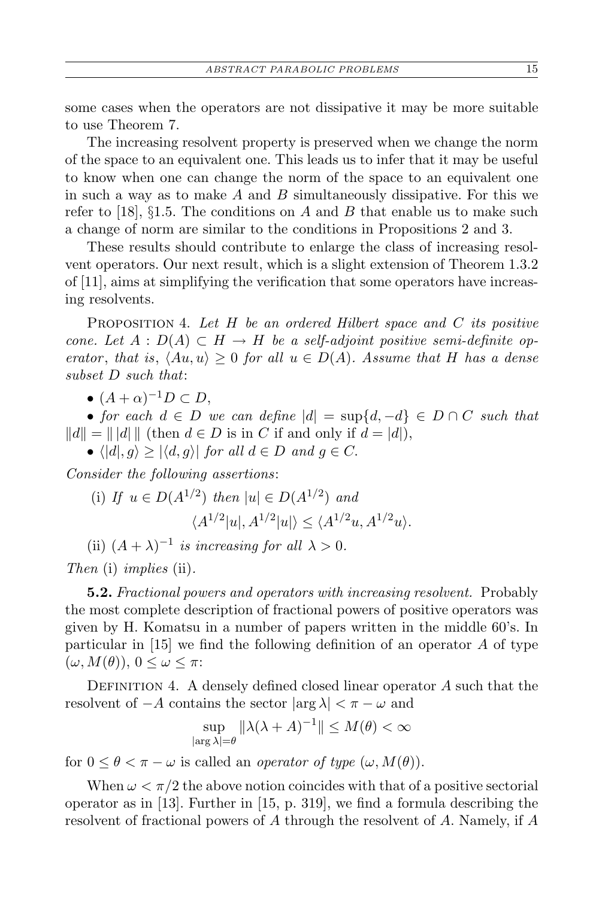some cases when the operators are not dissipative it may be more suitable to use Theorem 7.

The increasing resolvent property is preserved when we change the norm of the space to an equivalent one. This leads us to infer that it may be useful to know when one can change the norm of the space to an equivalent one in such a way as to make *A* and *B* simultaneously dissipative. For this we refer to [18], *§*1.5. The conditions on *A* and *B* that enable us to make such a change of norm are similar to the conditions in Propositions 2 and 3.

These results should contribute to enlarge the class of increasing resolvent operators. Our next result, which is a slight extension of Theorem 1.3.2 of [11], aims at simplifying the verification that some operators have increasing resolvents.

Proposition 4. *Let H be an ordered Hilbert space and C its positive cone.* Let  $A: D(A) \subset H \to H$  be a self-adjoint positive semi-definite op*erator*, *that is*,  $\langle Au, u \rangle \geq 0$  *for all*  $u \in D(A)$ *. Assume that H has a dense subset D such that*:

•  $(A + \alpha)^{-1}D \subset D$ ,

• *for each*  $d \in D$  *we can define*  $|d| = \sup\{d, -d\} \in D \cap C$  *such that*  $||d|| = ||d||$  (then  $d \in D$  is in *C* if and only if  $d = |d|$ ),

•  $\langle |d|, g \rangle \geq |\langle d, g \rangle|$  *for all*  $d \in D$  *and*  $g \in C$ .

*Consider the following assertions*:

(i) If 
$$
u \in D(A^{1/2})
$$
 then  $|u| \in D(A^{1/2})$  and  

$$
\langle A^{1/2}|u|, A^{1/2}|u|\rangle \leq \langle A^{1/2}u, A^{1/2}u\rangle.
$$

(ii)  $(A + \lambda)^{-1}$  *is increasing for all*  $\lambda > 0$ *.* 

*Then* (i) *implies* (ii)*.*

**5.2.** *Fractional powers and operators with increasing resolvent.* Probably the most complete description of fractional powers of positive operators was given by H. Komatsu in a number of papers written in the middle 60's. In particular in [15] we find the following definition of an operator *A* of type  $(\omega, M(\theta)), 0 \leq \omega \leq \pi$ :

DEFINITION 4. A densely defined closed linear operator A such that the resolvent of  $-A$  contains the sector  $|\arg \lambda| < \pi - \omega$  and

$$
\sup_{|\arg \lambda|=\theta} \|\lambda(\lambda+A)^{-1}\| \le M(\theta) < \infty
$$

for  $0 \leq \theta < \pi - \omega$  is called an *operator of type*  $(\omega, M(\theta))$ .

When  $\omega < \pi/2$  the above notion coincides with that of a positive sectorial operator as in [13]. Further in [15, p. 319], we find a formula describing the resolvent of fractional powers of *A* through the resolvent of *A*. Namely, if *A*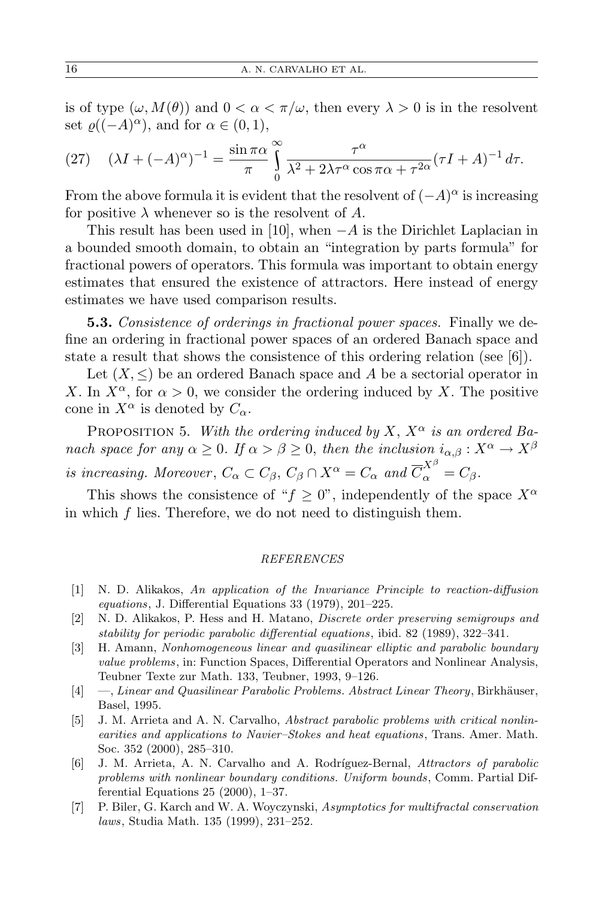is of type  $(\omega, M(\theta))$  and  $0 < \alpha < \pi/\omega$ , then every  $\lambda > 0$  is in the resolvent set  $\varrho((-A)^{\alpha})$ , and for  $\alpha \in (0,1)$ ,

(27) 
$$
(\lambda I + (-A)^{\alpha})^{-1} = \frac{\sin \pi \alpha}{\pi} \int_{0}^{\infty} \frac{\tau^{\alpha}}{\lambda^2 + 2\lambda \tau^{\alpha} \cos \pi \alpha + \tau^{2\alpha}} (\tau I + A)^{-1} d\tau.
$$

From the above formula it is evident that the resolvent of  $(-A)^{\alpha}$  is increasing for positive  $\lambda$  whenever so is the resolvent of  $A$ .

This result has been used in [10], when *−A* is the Dirichlet Laplacian in a bounded smooth domain, to obtain an "integration by parts formula" for fractional powers of operators. This formula was important to obtain energy estimates that ensured the existence of attractors. Here instead of energy estimates we have used comparison results.

**5.3.** *Consistence of orderings in fractional power spaces.* Finally we define an ordering in fractional power spaces of an ordered Banach space and state a result that shows the consistence of this ordering relation (see [6]).

Let  $(X, \leq)$  be an ordered Banach space and A be a sectorial operator in *X*. In  $X^{\alpha}$ , for  $\alpha > 0$ , we consider the ordering induced by *X*. The positive cone in  $X^{\alpha}$  is denoted by  $C_{\alpha}$ .

PROPOSITION 5. *With the ordering induced by X,*  $X^{\alpha}$  *is an ordered Banach space for any*  $\alpha \geq 0$ *. If*  $\alpha > \beta \geq 0$ *, then the inclusion*  $i_{\alpha,\beta}: X^{\alpha} \to X^{\beta}$ *is increasing. Moreover*,  $C_{\alpha} \subset C_{\beta}$ ,  $C_{\beta} \cap X^{\alpha} = C_{\alpha}$  and  $\overline{C}_{\alpha}^{X^{\beta}} = C_{\beta}$ .

This shows the consistence of " $f > 0$ ", independently of the space  $X^{\alpha}$ in which *f* lies. Therefore, we do not need to distinguish them.

## *REFERENCES*

- [1] N. D. Alikakos, *An application of the Invariance Principle to reaction-diffusion equations*, J. Differential Equations 33 (1979), 201–225.
- [2] N. D. Alikakos, P. Hess and H. Matano, *Discrete order preserving semigroups and stability for periodic parabolic differential equations*, ibid. 82 (1989), 322–341.
- [3] H. Amann, *Nonhomogeneous linear and quasilinear elliptic and parabolic boundary value problems*, in: Function Spaces, Differential Operators and Nonlinear Analysis, Teubner Texte zur Math. 133, Teubner, 1993, 9–126.
- [4] —, *Linear and Quasilinear Parabolic Problems. Abstract Linear Theory*, Birkhäuser, Basel, 1995.
- [5] J. M. Arrieta and A. N. Carvalho, *Abstract parabolic problems with critical nonlinearities and applications to Navier–Stokes and heat equations*, Trans. Amer. Math. Soc. 352 (2000), 285–310.
- [6] J. M. Arrieta, A. N. Carvalho and A. Rodr´ıguez-Bernal, *Attractors of parabolic problems with nonlinear boundary conditions. Uniform bounds*, Comm. Partial Differential Equations 25 (2000), 1–37.
- [7] P. Biler, G. Karch and W. A. Woyczynski, *Asymptotics for multifractal conservation laws*, Studia Math. 135 (1999), 231–252.